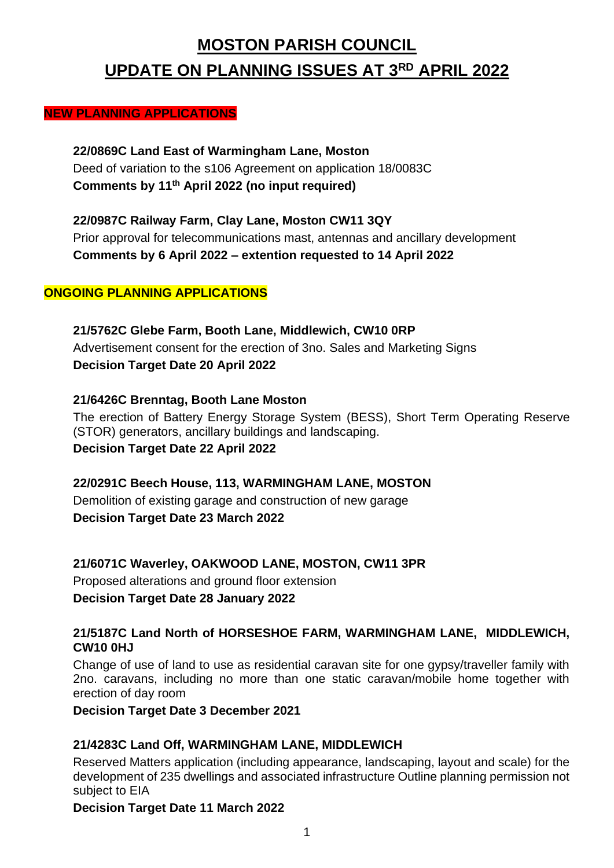# **MOSTON PARISH COUNCIL UPDATE ON PLANNING ISSUES AT 3 RD APRIL 2022**

#### **NEW PLANNING APPLICATIONS**

**22/0869C Land East of Warmingham Lane, Moston** Deed of variation to the s106 Agreement on application 18/0083C **Comments by 11th April 2022 (no input required)**

**22/0987C Railway Farm, Clay Lane, Moston CW11 3QY** Prior approval for telecommunications mast, antennas and ancillary development **Comments by 6 April 2022 – extention requested to 14 April 2022**

## **ONGOING PLANNING APPLICATIONS**

**21/5762C Glebe Farm, Booth Lane, Middlewich, CW10 0RP** Advertisement consent for the erection of 3no. Sales and Marketing Signs **Decision Target Date 20 April 2022**

**21/6426C Brenntag, Booth Lane Moston** The erection of Battery Energy Storage System (BESS), Short Term Operating Reserve (STOR) generators, ancillary buildings and landscaping. **Decision Target Date 22 April 2022**

**22/0291C Beech House, 113, WARMINGHAM LANE, MOSTON** Demolition of existing garage and construction of new garage **Decision Target Date 23 March 2022**

**21/6071C Waverley, OAKWOOD LANE, MOSTON, CW11 3PR** Proposed alterations and ground floor extension

**Decision Target Date 28 January 2022**

## **21/5187C Land North of HORSESHOE FARM, WARMINGHAM LANE, MIDDLEWICH, CW10 0HJ**

Change of use of land to use as residential caravan site for one gypsy/traveller family with 2no. caravans, including no more than one static caravan/mobile home together with erection of day room

**Decision Target Date 3 December 2021**

# **21/4283C Land Off, WARMINGHAM LANE, MIDDLEWICH**

Reserved Matters application (including appearance, landscaping, layout and scale) for the development of 235 dwellings and associated infrastructure Outline planning permission not subject to EIA

**Decision Target Date 11 March 2022**